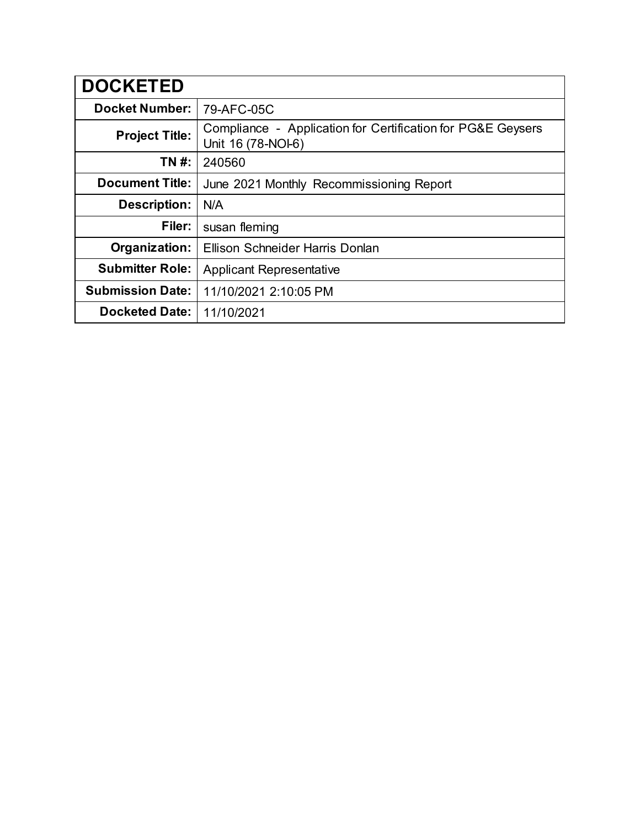| <b>DOCKETED</b>         |                                                                                   |
|-------------------------|-----------------------------------------------------------------------------------|
| <b>Docket Number:</b>   | 79-AFC-05C                                                                        |
| <b>Project Title:</b>   | Compliance - Application for Certification for PG&E Geysers<br>Unit 16 (78-NOI-6) |
| TN #:                   | 240560                                                                            |
| <b>Document Title:</b>  | June 2021 Monthly Recommissioning Report                                          |
| <b>Description:</b>     | N/A                                                                               |
| Filer:                  | susan fleming                                                                     |
| Organization:           | Ellison Schneider Harris Donlan                                                   |
| <b>Submitter Role:</b>  | <b>Applicant Representative</b>                                                   |
| <b>Submission Date:</b> | 11/10/2021 2:10:05 PM                                                             |
| <b>Docketed Date:</b>   | 11/10/2021                                                                        |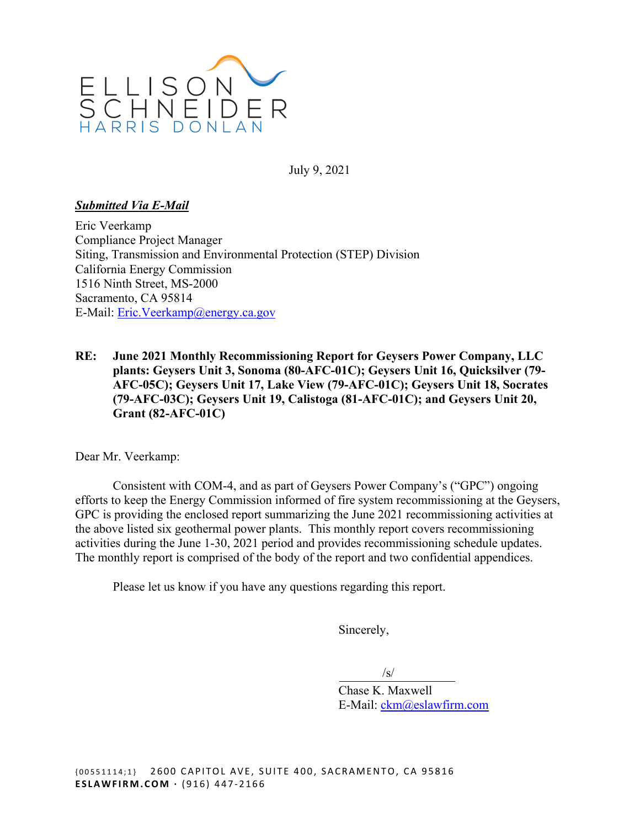

July 9, 2021

#### *Submitted Via E-Mail*

Eric Veerkamp Compliance Project Manager Siting, Transmission and Environmental Protection (STEP) Division California Energy Commission 1516 Ninth Street, MS-2000 Sacramento, CA 95814 E-Mail: [Eric.Veerkamp@energy.ca.gov](mailto:Eric.Veerkamp@energy.ca.gov) 

**RE: June 2021 Monthly Recommissioning Report for Geysers Power Company, LLC plants: Geysers Unit 3, Sonoma (80-AFC-01C); Geysers Unit 16, Quicksilver (79- AFC-05C); Geysers Unit 17, Lake View (79-AFC-01C); Geysers Unit 18, Socrates (79-AFC-03C); Geysers Unit 19, Calistoga (81-AFC-01C); and Geysers Unit 20, Grant (82-AFC-01C)** 

Dear Mr. Veerkamp:

Consistent with COM-4, and as part of Geysers Power Company's ("GPC") ongoing efforts to keep the Energy Commission informed of fire system recommissioning at the Geysers, GPC is providing the enclosed report summarizing the June 2021 recommissioning activities at the above listed six geothermal power plants. This monthly report covers recommissioning activities during the June 1-30, 2021 period and provides recommissioning schedule updates. The monthly report is comprised of the body of the report and two confidential appendices.

Please let us know if you have any questions regarding this report.

Sincerely,

 $\sqrt{s}$ 

Chase K. Maxwell E-Mail: [ckm@eslawfirm.com](mailto:ckm@eslawfirm.com)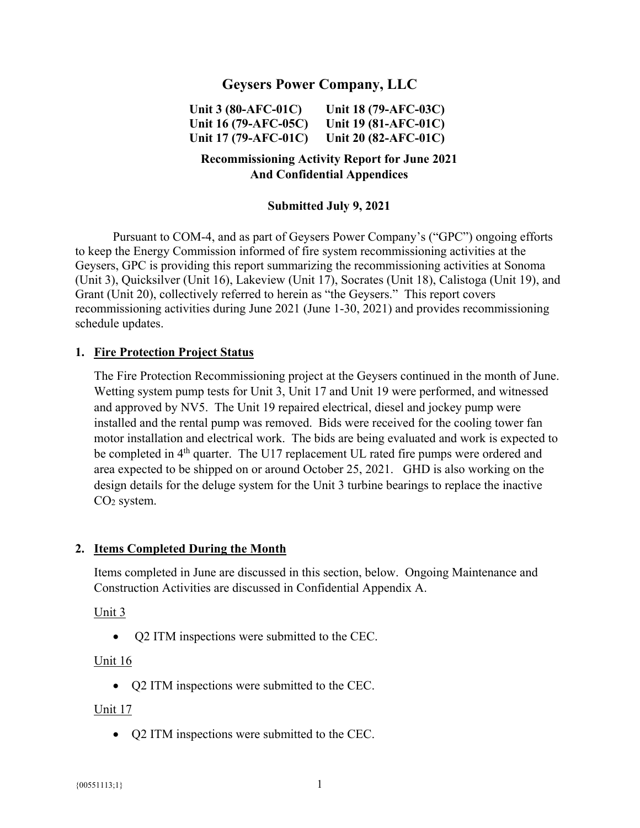# **Geysers Power Company, LLC**

**Unit 3 (80-AFC-01C) Unit 18 (79-AFC-03C) Unit 16 (79-AFC-05C) Unit 19 (81-AFC-01C) Unit 17 (79-AFC-01C) Unit 20 (82-AFC-01C)** 

# **Recommissioning Activity Report for June 2021 And Confidential Appendices**

#### **Submitted July 9, 2021**

Pursuant to COM-4, and as part of Geysers Power Company's ("GPC") ongoing efforts to keep the Energy Commission informed of fire system recommissioning activities at the Geysers, GPC is providing this report summarizing the recommissioning activities at Sonoma (Unit 3), Quicksilver (Unit 16), Lakeview (Unit 17), Socrates (Unit 18), Calistoga (Unit 19), and Grant (Unit 20), collectively referred to herein as "the Geysers." This report covers recommissioning activities during June 2021 (June 1-30, 2021) and provides recommissioning schedule updates.

#### **1. Fire Protection Project Status**

The Fire Protection Recommissioning project at the Geysers continued in the month of June. Wetting system pump tests for Unit 3, Unit 17 and Unit 19 were performed, and witnessed and approved by NV5. The Unit 19 repaired electrical, diesel and jockey pump were installed and the rental pump was removed. Bids were received for the cooling tower fan motor installation and electrical work. The bids are being evaluated and work is expected to be completed in 4<sup>th</sup> quarter. The U17 replacement UL rated fire pumps were ordered and area expected to be shipped on or around October 25, 2021. GHD is also working on the design details for the deluge system for the Unit 3 turbine bearings to replace the inactive CO2 system.

#### **2. Items Completed During the Month**

Items completed in June are discussed in this section, below. Ongoing Maintenance and Construction Activities are discussed in Confidential Appendix A.

Unit 3

• O2 ITM inspections were submitted to the CEC.

#### Unit 16

• Q2 ITM inspections were submitted to the CEC.

#### Unit 17

• Q2 ITM inspections were submitted to the CEC.